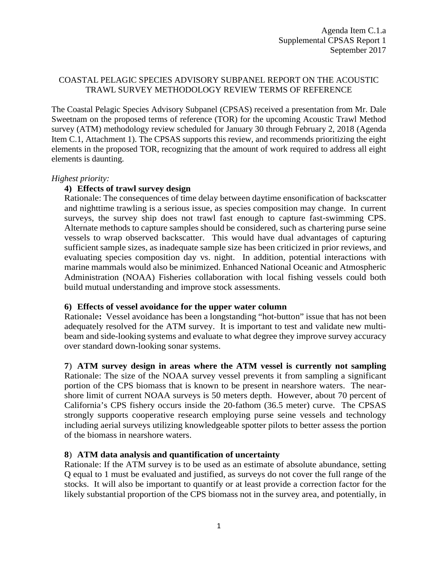# COASTAL PELAGIC SPECIES ADVISORY SUBPANEL REPORT ON THE ACOUSTIC TRAWL SURVEY METHODOLOGY REVIEW TERMS OF REFERENCE

The Coastal Pelagic Species Advisory Subpanel (CPSAS) received a presentation from Mr. Dale Sweetnam on the proposed terms of reference (TOR) for the upcoming Acoustic Trawl Method survey (ATM) methodology review scheduled for January 30 through February 2, 2018 (Agenda Item C.1, Attachment 1). The CPSAS supports this review, and recommends prioritizing the eight elements in the proposed TOR, recognizing that the amount of work required to address all eight elements is daunting.

## *Highest priority:*

# **4) Effects of trawl survey design**

Rationale: The consequences of time delay between daytime ensonification of backscatter and nighttime trawling is a serious issue, as species composition may change. In current surveys, the survey ship does not trawl fast enough to capture fast-swimming CPS. Alternate methods to capture samples should be considered, such as chartering purse seine vessels to wrap observed backscatter. This would have dual advantages of capturing sufficient sample sizes, as inadequate sample size has been criticized in prior reviews, and evaluating species composition day vs. night. In addition, potential interactions with marine mammals would also be minimized. Enhanced National Oceanic and Atmospheric Administration (NOAA) Fisheries collaboration with local fishing vessels could both build mutual understanding and improve stock assessments.

# **6) Effects of vessel avoidance for the upper water column**

Rationale**:** Vessel avoidance has been a longstanding "hot-button" issue that has not been adequately resolved for the ATM survey. It is important to test and validate new multibeam and side-looking systems and evaluate to what degree they improve survey accuracy over standard down-looking sonar systems.

# **7**) **ATM survey design in areas where the ATM vessel is currently not sampling**

Rationale: The size of the NOAA survey vessel prevents it from sampling a significant portion of the CPS biomass that is known to be present in nearshore waters. The nearshore limit of current NOAA surveys is 50 meters depth. However, about 70 percent of California's CPS fishery occurs inside the 20-fathom (36.5 meter) curve. The CPSAS strongly supports cooperative research employing purse seine vessels and technology including aerial surveys utilizing knowledgeable spotter pilots to better assess the portion of the biomass in nearshore waters.

# **8**) **ATM data analysis and quantification of uncertainty**

Rationale: If the ATM survey is to be used as an estimate of absolute abundance, setting Q equal to 1 must be evaluated and justified, as surveys do not cover the full range of the stocks. It will also be important to quantify or at least provide a correction factor for the likely substantial proportion of the CPS biomass not in the survey area, and potentially, in